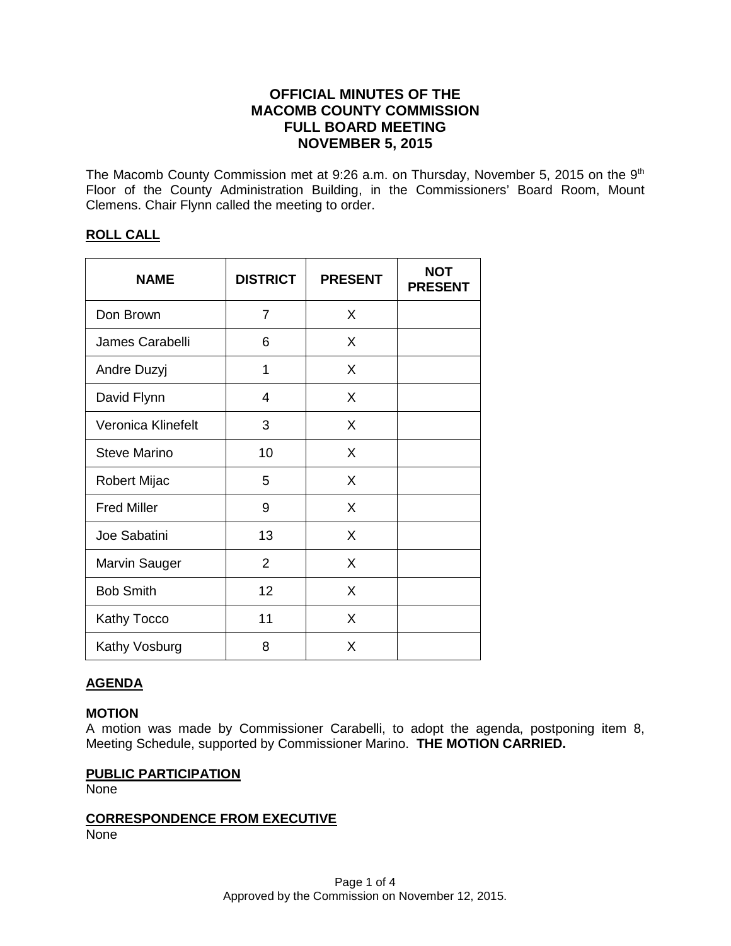# **OFFICIAL MINUTES OF THE MACOMB COUNTY COMMISSION FULL BOARD MEETING NOVEMBER 5, 2015**

The Macomb County Commission met at 9:26 a.m. on Thursday, November 5, 2015 on the 9<sup>th</sup> Floor of the County Administration Building, in the Commissioners' Board Room, Mount Clemens. Chair Flynn called the meeting to order.

## **ROLL CALL**

| <b>NAME</b>          | <b>DISTRICT</b> | <b>PRESENT</b> | <b>NOT</b><br><b>PRESENT</b> |
|----------------------|-----------------|----------------|------------------------------|
| Don Brown            | 7               | X              |                              |
| James Carabelli      | 6               | X              |                              |
| Andre Duzyj          | 1               | X              |                              |
| David Flynn          | 4               | X              |                              |
| Veronica Klinefelt   | 3               | X              |                              |
| <b>Steve Marino</b>  | 10              | X              |                              |
| <b>Robert Mijac</b>  | 5               | X              |                              |
| <b>Fred Miller</b>   | 9               | X              |                              |
| Joe Sabatini         | 13              | X              |                              |
| <b>Marvin Sauger</b> | $\overline{2}$  | X              |                              |
| <b>Bob Smith</b>     | 12              | X              |                              |
| <b>Kathy Tocco</b>   | 11              | X              |                              |
| Kathy Vosburg        | 8               | X              |                              |

# **AGENDA**

## **MOTION**

A motion was made by Commissioner Carabelli, to adopt the agenda, postponing item 8, Meeting Schedule, supported by Commissioner Marino. **THE MOTION CARRIED.** 

## **PUBLIC PARTICIPATION**

None

# **CORRESPONDENCE FROM EXECUTIVE**

None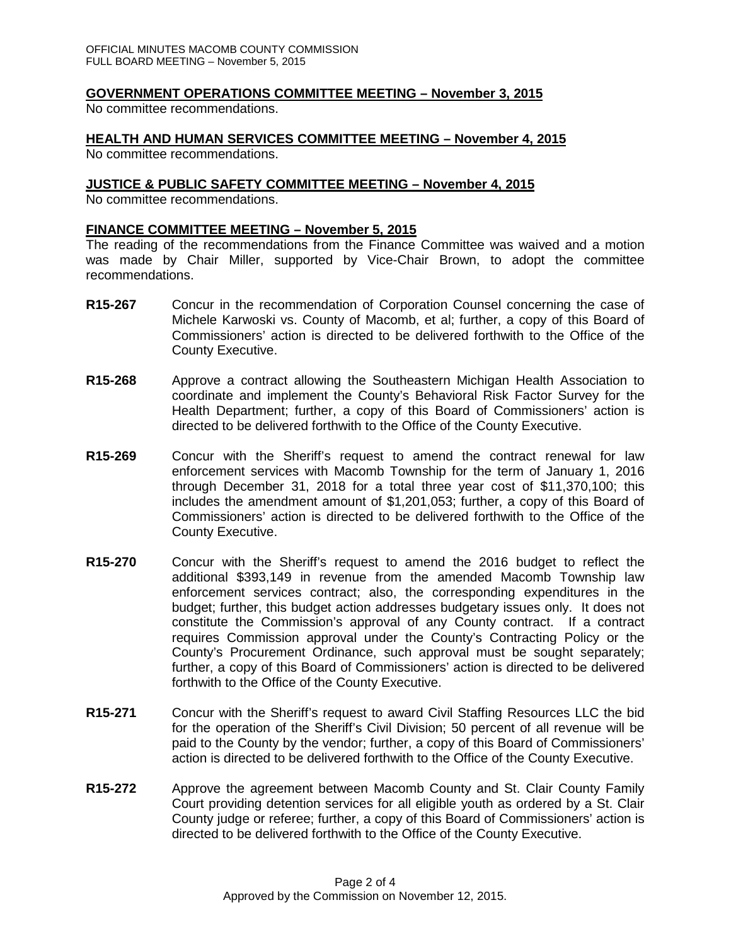## **GOVERNMENT OPERATIONS COMMITTEE MEETING – November 3, 2015**

No committee recommendations.

## **HEALTH AND HUMAN SERVICES COMMITTEE MEETING – November 4, 2015**

No committee recommendations.

#### **JUSTICE & PUBLIC SAFETY COMMITTEE MEETING – November 4, 2015**

No committee recommendations.

#### **FINANCE COMMITTEE MEETING – November 5, 2015**

The reading of the recommendations from the Finance Committee was waived and a motion was made by Chair Miller, supported by Vice-Chair Brown, to adopt the committee recommendations.

- **R15-267** Concur in the recommendation of Corporation Counsel concerning the case of Michele Karwoski vs. County of Macomb, et al; further, a copy of this Board of Commissioners' action is directed to be delivered forthwith to the Office of the County Executive.
- **R15-268** Approve a contract allowing the Southeastern Michigan Health Association to coordinate and implement the County's Behavioral Risk Factor Survey for the Health Department; further, a copy of this Board of Commissioners' action is directed to be delivered forthwith to the Office of the County Executive.
- **R15-269** Concur with the Sheriff's request to amend the contract renewal for law enforcement services with Macomb Township for the term of January 1, 2016 through December 31, 2018 for a total three year cost of \$11,370,100; this includes the amendment amount of \$1,201,053; further, a copy of this Board of Commissioners' action is directed to be delivered forthwith to the Office of the County Executive.
- **R15-270** Concur with the Sheriff's request to amend the 2016 budget to reflect the additional \$393,149 in revenue from the amended Macomb Township law enforcement services contract; also, the corresponding expenditures in the budget; further, this budget action addresses budgetary issues only. It does not constitute the Commission's approval of any County contract. If a contract requires Commission approval under the County's Contracting Policy or the County's Procurement Ordinance, such approval must be sought separately; further, a copy of this Board of Commissioners' action is directed to be delivered forthwith to the Office of the County Executive.
- **R15-271** Concur with the Sheriff's request to award Civil Staffing Resources LLC the bid for the operation of the Sheriff's Civil Division; 50 percent of all revenue will be paid to the County by the vendor; further, a copy of this Board of Commissioners' action is directed to be delivered forthwith to the Office of the County Executive.
- **R15-272** Approve the agreement between Macomb County and St. Clair County Family Court providing detention services for all eligible youth as ordered by a St. Clair County judge or referee; further, a copy of this Board of Commissioners' action is directed to be delivered forthwith to the Office of the County Executive.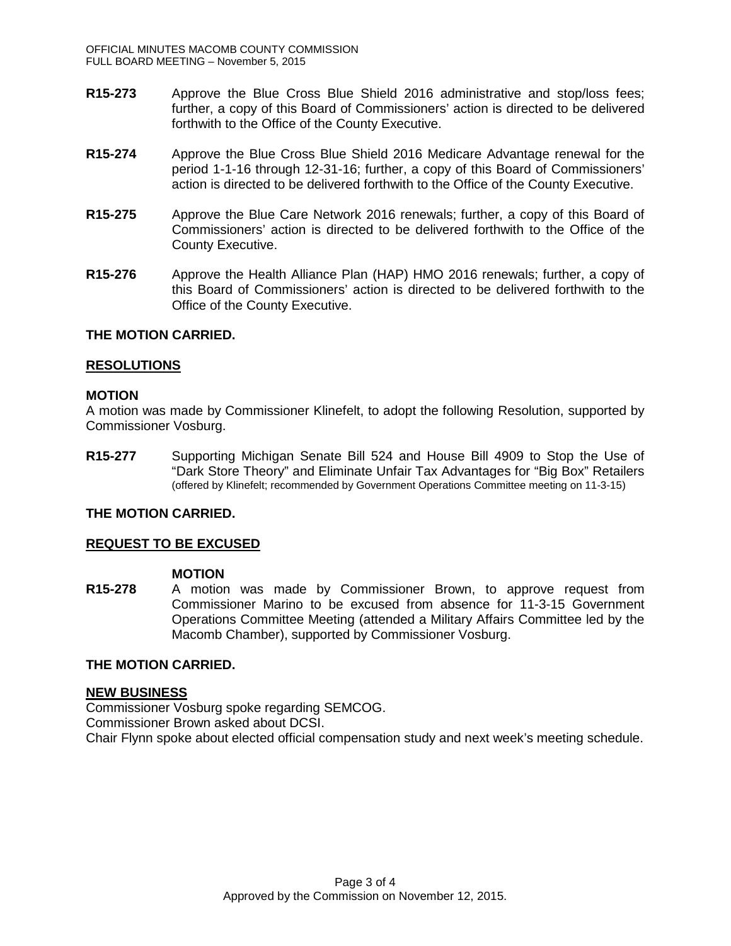- **R15-273** Approve the Blue Cross Blue Shield 2016 administrative and stop/loss fees; further, a copy of this Board of Commissioners' action is directed to be delivered forthwith to the Office of the County Executive.
- **R15-274** Approve the Blue Cross Blue Shield 2016 Medicare Advantage renewal for the period 1-1-16 through 12-31-16; further, a copy of this Board of Commissioners' action is directed to be delivered forthwith to the Office of the County Executive.
- **R15-275** Approve the Blue Care Network 2016 renewals; further, a copy of this Board of Commissioners' action is directed to be delivered forthwith to the Office of the County Executive.
- **R15-276** Approve the Health Alliance Plan (HAP) HMO 2016 renewals; further, a copy of this Board of Commissioners' action is directed to be delivered forthwith to the Office of the County Executive.

#### **THE MOTION CARRIED.**

#### **RESOLUTIONS**

#### **MOTION**

A motion was made by Commissioner Klinefelt, to adopt the following Resolution, supported by Commissioner Vosburg.

**R15-277** Supporting Michigan Senate Bill 524 and House Bill 4909 to Stop the Use of "Dark Store Theory" and Eliminate Unfair Tax Advantages for "Big Box" Retailers (offered by Klinefelt; recommended by Government Operations Committee meeting on 11-3-15)

## **THE MOTION CARRIED.**

#### **REQUEST TO BE EXCUSED**

#### **MOTION**

**R15-278** A motion was made by Commissioner Brown, to approve request from Commissioner Marino to be excused from absence for 11-3-15 Government Operations Committee Meeting (attended a Military Affairs Committee led by the Macomb Chamber), supported by Commissioner Vosburg.

## **THE MOTION CARRIED.**

#### **NEW BUSINESS**

Commissioner Vosburg spoke regarding SEMCOG. Commissioner Brown asked about DCSI. Chair Flynn spoke about elected official compensation study and next week's meeting schedule.